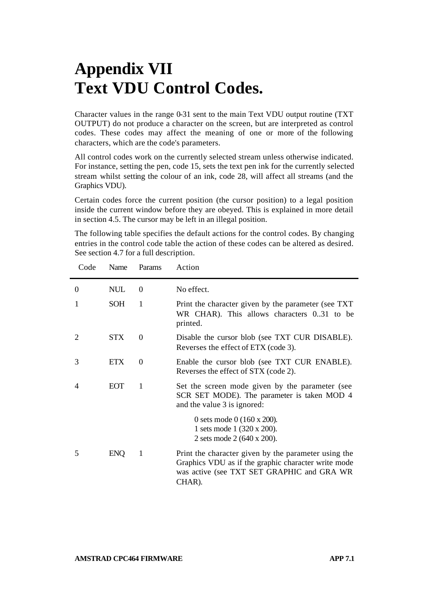## **Appendix VII Text VDU Control Codes.**

Character values in the range 0-31 sent to the main Text VDU output routine (TXT OUTPUT) do not produce a character on the screen, but are interpreted as control codes. These codes may affect the meaning of one or more of the following characters, which are the code's parameters.

All control codes work on the currently selected stream unless otherwise indicated. For instance, setting the pen, code 15, sets the text pen ink for the currently selected stream whilst setting the colour of an ink, code 28, will affect all streams (and the Graphics VDU).

Certain codes force the current position (the cursor position) to a legal position inside the current window before they are obeyed. This is explained in more detail in section 4.5. The cursor may be left in an illegal position.

The following table specifies the default actions for the control codes. By changing entries in the control code table the action of these codes can be altered as desired. See section 4.7 for a full description.

| Code           | Name       | Params   | Action                                                                                                                                                              |
|----------------|------------|----------|---------------------------------------------------------------------------------------------------------------------------------------------------------------------|
| $\theta$       | <b>NUL</b> | $\Omega$ | No effect.                                                                                                                                                          |
| 1              | <b>SOH</b> | 1        | Print the character given by the parameter (see TXT)<br>WR CHAR). This allows characters 031 to be<br>printed.                                                      |
| $\mathfrak{D}$ | <b>STX</b> | $\Omega$ | Disable the cursor blob (see TXT CUR DISABLE).<br>Reverses the effect of ETX (code 3).                                                                              |
| 3              | <b>ETX</b> | $\Omega$ | Enable the cursor blob (see TXT CUR ENABLE).<br>Reverses the effect of STX (code 2).                                                                                |
| 4              | <b>EOT</b> | 1        | Set the screen mode given by the parameter (see<br>SCR SET MODE). The parameter is taken MOD 4<br>and the value 3 is ignored:                                       |
|                |            |          | 0 sets mode 0 $(160 \times 200)$ .<br>1 sets mode 1 (320 x 200).<br>2 sets mode 2 (640 x 200).                                                                      |
| 5              | <b>ENQ</b> | 1        | Print the character given by the parameter using the<br>Graphics VDU as if the graphic character write mode<br>was active (see TXT SET GRAPHIC and GRA WR<br>CHAR). |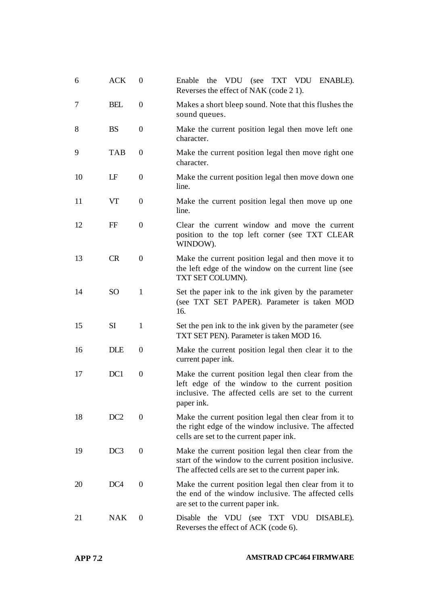| 6  | ACK             | $\boldsymbol{0}$ | Enable<br>the VDU (see TXT VDU<br>ENABLE).<br>Reverses the effect of NAK (code 21).                                                                                          |
|----|-----------------|------------------|------------------------------------------------------------------------------------------------------------------------------------------------------------------------------|
| 7  | <b>BEL</b>      | 0                | Makes a short bleep sound. Note that this flushes the<br>sound queues.                                                                                                       |
| 8  | <b>BS</b>       | 0                | Make the current position legal then move left one<br>character.                                                                                                             |
| 9  | TAB             | 0                | Make the current position legal then move right one<br>character.                                                                                                            |
| 10 | LF              | 0                | Make the current position legal then move down one<br>line.                                                                                                                  |
| 11 | VT              | 0                | Make the current position legal then move up one<br>line.                                                                                                                    |
| 12 | FF              | $\overline{0}$   | Clear the current window and move the current<br>position to the top left corner (see TXT CLEAR<br>WINDOW).                                                                  |
| 13 | <b>CR</b>       | $\theta$         | Make the current position legal and then move it to<br>the left edge of the window on the current line (see<br>TXT SET COLUMN).                                              |
| 14 | <sub>SO</sub>   | 1                | Set the paper ink to the ink given by the parameter<br>(see TXT SET PAPER). Parameter is taken MOD<br>16.                                                                    |
| 15 | <b>SI</b>       | $\mathbf{1}$     | Set the pen ink to the ink given by the parameter (see<br>TXT SET PEN). Parameter is taken MOD 16.                                                                           |
| 16 | <b>DLE</b>      | 0                | Make the current position legal then clear it to the<br>current paper ink.                                                                                                   |
| 17 | DC1             | 0                | Make the current position legal then clear from the<br>left edge of the window to the current position<br>inclusive. The affected cells are set to the current<br>paper ink. |
| 18 | DC <sub>2</sub> | 0                | Make the current position legal then clear from it to<br>the right edge of the window inclusive. The affected<br>cells are set to the current paper ink.                     |
| 19 | DC3             | $\overline{0}$   | Make the current position legal then clear from the<br>start of the window to the current position inclusive.<br>The affected cells are set to the current paper ink.        |
| 20 | DC <sub>4</sub> | $\overline{0}$   | Make the current position legal then clear from it to<br>the end of the window inclusive. The affected cells<br>are set to the current paper ink.                            |
| 21 | <b>NAK</b>      | 0                | the VDU (see TXT VDU<br>Disable<br>DISABLE).<br>Reverses the effect of ACK (code 6).                                                                                         |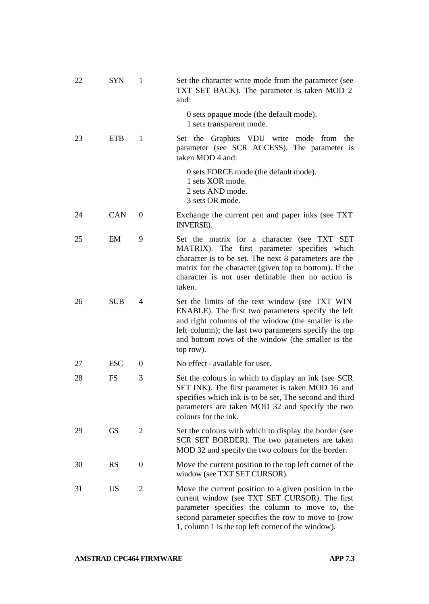| 22 | SYN        | 1 | Set the character write mode from the parameter (see<br>TXT SET BACK). The parameter is taken MOD 2<br>and:                                                                                                                                                                            |
|----|------------|---|----------------------------------------------------------------------------------------------------------------------------------------------------------------------------------------------------------------------------------------------------------------------------------------|
|    |            |   | 0 sets opaque mode (the default mode).<br>1 sets transparent mode.                                                                                                                                                                                                                     |
| 23 | <b>ETB</b> | 1 | Set the Graphics VDU write mode from<br>the<br>parameter (see SCR ACCESS). The parameter is<br>taken MOD 4 and:                                                                                                                                                                        |
|    |            |   | 0 sets FORCE mode (the default mode).<br>1 sets XOR mode.<br>2 sets AND mode.<br>3 sets OR mode.                                                                                                                                                                                       |
| 24 | CAN        | 0 | Exchange the current pen and paper inks (see TXT)<br>INVERSE).                                                                                                                                                                                                                         |
| 25 | EM         | 9 | Set the matrix for a character (see TXT SET<br>MATRIX). The first parameter specifies which<br>character is to be set. The next 8 parameters are the<br>matrix for the character (given top to bottom). If the<br>character is not user definable then no action is<br>taken.          |
| 26 | <b>SUB</b> | 4 | Set the limits of the text window (see TXT WIN<br>ENABLE). The first two parameters specify the left<br>and right columns of the window (the smaller is the<br>left column); the last two parameters specify the top<br>and bottom rows of the window (the smaller is the<br>top row). |
| 27 | <b>ESC</b> | 0 | No effect - available for user.                                                                                                                                                                                                                                                        |
| 28 | FS.        | 3 | Set the colours in which to display an ink (see SCR<br>SET INK). The first parameter is taken MOD 16 and<br>specifies which ink is to be set, The second and third<br>parameters are taken MOD 32 and specify the two<br>colours for the ink.                                          |
| 29 | GS         | 2 | Set the colours with which to display the border (see<br>SCR SET BORDER). The two parameters are taken<br>MOD 32 and specify the two colours for the border.                                                                                                                           |
| 30 | <b>RS</b>  | 0 | Move the current position to the top left corner of the<br>window (see TXT SET CURSOR).                                                                                                                                                                                                |
| 31 | US         | 2 | Move the current position to a given position in the<br>current window (see TXT SET CURSOR). The first<br>parameter specifies the column to move to, the<br>second parameter specifies the row to move to (row<br>1, column 1 is the top left corner of the window).                   |